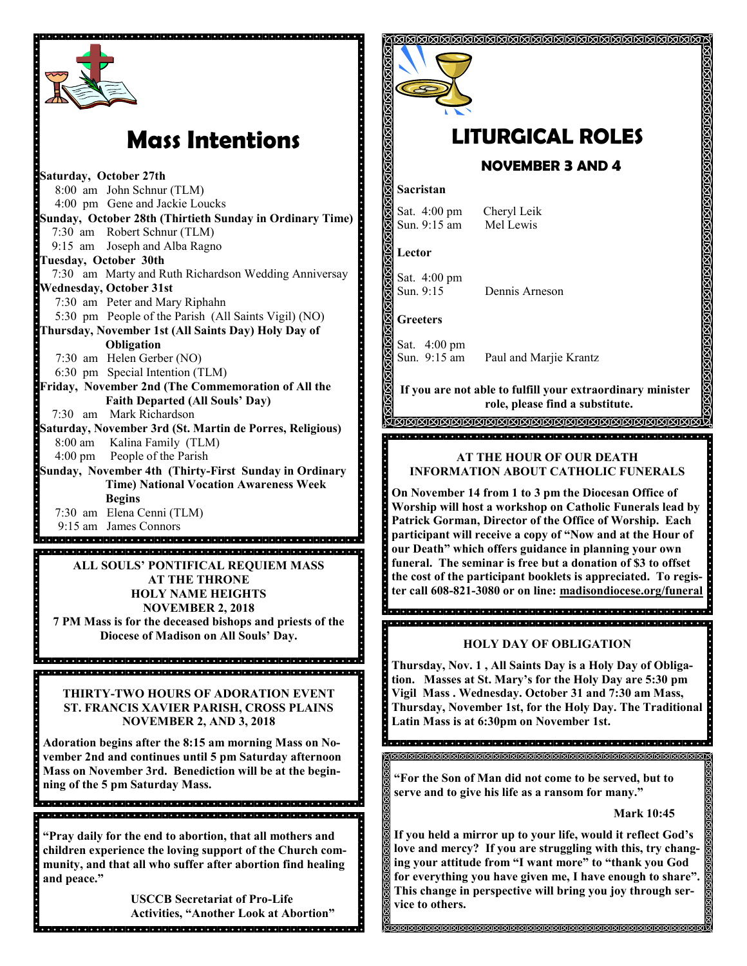

# **Mass Intentions**

**Saturday, October 27th** 8:00 am John Schnur (TLM) 4:00 pm Gene and Jackie Loucks **Sunday, October 28th (Thirtieth Sunday in Ordinary Time)** 7:30 am Robert Schnur (TLM) 9:15 am Joseph and Alba Ragno **Tuesday, October 30th** 7:30 am Marty and Ruth Richardson Wedding Anniversay **Wednesday, October 31st** 7:30 am Peter and Mary Riphahn 5:30 pm People of the Parish (All Saints Vigil) (NO) **Thursday, November 1st (All Saints Day) Holy Day of Obligation** 7:30 am Helen Gerber (NO) 6:30 pm Special Intention (TLM) **Friday, November 2nd (The Commemoration of All the Faith Departed (All Souls' Day)** 7:30 am Mark Richardson **Saturday, November 3rd (St. Martin de Porres, Religious)**  8:00 am Kalina Family (TLM) 4:00 pm People of the Parish **Sunday, November 4th (Thirty-First Sunday in Ordinary Time) National Vocation Awareness Week Begins** 7:30 am Elena Cenni (TLM) 9:15 am James Connors<br>**proposition de la contracta de la contracta de la contracta de la contracta de la contracta de la contracta de ALL SOULS' PONTIFICAL REQUIEM MASS AT THE THRONE HOLY NAME HEIGHTS NOVEMBER 2, 2018 7 PM Mass is for the deceased bishops and priests of the Diocese of Madison on All Souls' Day. THIRTY-TWO HOURS OF ADORATION EVENT ST. FRANCIS XAVIER PARISH, CROSS PLAINS NOVEMBER 2, AND 3, 2018 Adoration begins after the 8:15 am morning Mass on November 2nd and continues until 5 pm Saturday afternoon Mass on November 3rd. Benediction will be at the beginning of the 5 pm Saturday Mass. "Pray daily for the end to abortion, that all mothers and children experience the loving support of the Church community, and that all who suffer after abortion find healing and peace."** 

> **USCCB Secretariat of Pro-Life Activities, "Another Look at Abortion"**

.<br>I el sistema de la ciencia de la ciencia del ciencia del ciencia de la ciencia del ciencia de la ciencia de la



# **LITURGICAL ROLES**

## **NOVEMBER 3 AND 4**

#### **Sacristan**

Sat. 4:00 pm Cheryl Leik Sun. 9:15 am Mel Lewis

**Lector**

Sat. 4:00 pm Sun. 9:15 Dennis Arneson

**Greeters**

Sat. 4:00 pm Sun. 9:15 am Paul and Marjie Krantz

**If you are not able to fulfill your extraordinary minister role, please find a substitute.** 

<u>JAAAAAAAAAAAAAAAAAAAA</u> 

#### **AT THE HOUR OF OUR DEATH INFORMATION ABOUT CATHOLIC FUNERALS**

**On November 14 from 1 to 3 pm the Diocesan Office of Worship will host a workshop on Catholic Funerals lead by Patrick Gorman, Director of the Office of Worship. Each participant will receive a copy of "Now and at the Hour of our Death" which offers guidance in planning your own funeral. The seminar is free but a donation of \$3 to offset the cost of the participant booklets is appreciated. To register call 608-821-3080 or on line: madisondiocese.org/funeral**

**HOLY DAY OF OBLIGATION**

s<br>Sacrado de del de la ciencia de la ciencia de del del de la ciencia de del del de de an ki a kikiki kikiki kikiki a kikiki a kikiki a kikiki a kikiki kikiki a kikiki a kikiki kikiki kikiki a kiki

**Thursday, Nov. 1 , All Saints Day is a Holy Day of Obligation. Masses at St. Mary's for the Holy Day are 5:30 pm Vigil Mass . Wednesday. October 31 and 7:30 am Mass, Thursday, November 1st, for the Holy Day. The Traditional Latin Mass is at 6:30pm on November 1st.** 

**"For the Son of Man did not come to be served, but to serve and to give his life as a ransom for many."**

**Mark 10:45**

**If you held a mirror up to your life, would it reflect God's love and mercy? If you are struggling with this, try changing your attitude from "I want more" to "thank you God for everything you have given me, I have enough to share". This change in perspective will bring you joy through service to others.**